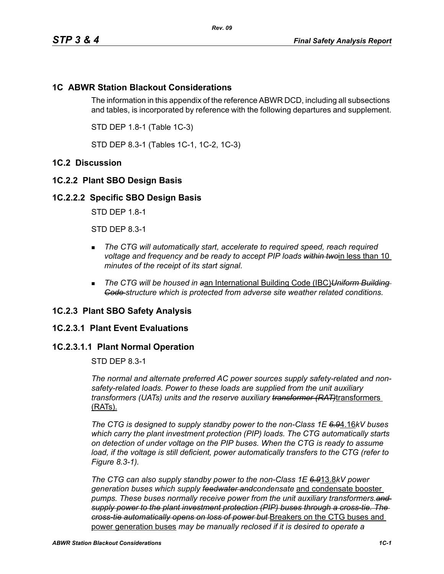# **1C ABWR Station Blackout Considerations**

The information in this appendix of the reference ABWR DCD, including all subsections and tables, is incorporated by reference with the following departures and supplement.

STD DEP 1.8-1 (Table 1C-3)

STD DEP 8.3-1 (Tables 1C-1, 1C-2, 1C-3)

# **1C.2 Discussion**

## **1C.2.2 Plant SBO Design Basis**

### **1C.2.2.2 Specific SBO Design Basis**

STD DEP 1.8-1

STD DEP 8.3-1

- **The CTG will automatically start, accelerate to required speed, reach required** *voltage and frequency and be ready to accept PIP loads within two*in less than 10 *minutes of the receipt of its start signal.*
- *The CTG will be housed in a*an International Building Code (IBC)*Uniform Building Code structure which is protected from adverse site weather related conditions.*

### **1C.2.3 Plant SBO Safety Analysis**

### **1C.2.3.1 Plant Event Evaluations**

## **1C.2.3.1.1 Plant Normal Operation**

STD DEP 8.3-1

*The normal and alternate preferred AC power sources supply safety-related and nonsafety-related loads. Power to these loads are supplied from the unit auxiliary transformers (UATs) units and the reserve auxiliary transformer (RAT)*transformers (RATs).

*The CTG is designed to supply standby power to the non-Class 1E 6.9*4.16*kV buses which carry the plant investment protection (PIP) loads. The CTG automatically starts on detection of under voltage on the PIP buses. When the CTG is ready to assume*  load, if the voltage is still deficient, power automatically transfers to the CTG (refer to *Figure 8.3-1).*

*The CTG can also supply standby power to the non-Class 1E 6.9*13.8*kV power generation buses which supply feedwater andcondensate* and condensate booster *pumps. These buses normally receive power from the unit auxiliary transformers.and supply power to the plant investment protection (PIP) buses through a cross-tie. The cross-tie automatically opens on loss of power but* Breakers on the CTG buses and power generation buses *may be manually reclosed if it is desired to operate a*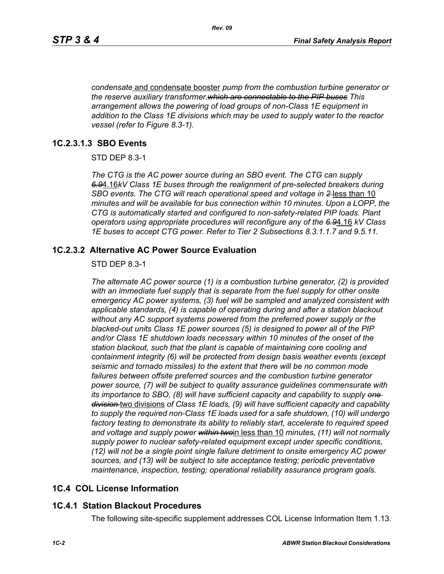*condensate* and condensate booster *pump from the combustion turbine generator or the reserve auxiliary transformer.which are connectable to the PIP buses This arrangement allows the powering of load groups of non-Class 1E equipment in addition to the Class 1E divisions which may be used to supply water to the reactor vessel (refer to Figure 8.3-1).*

## **1C.2.3.1.3 SBO Events**

STD DEP 8.3-1

*The CTG is the AC power source during an SBO event. The CTG can supply 6.9*4.16*kV Class 1E buses through the realignment of pre-selected breakers during SBO events. The CTG will reach operational speed and voltage in 2* less than 10 *minutes and will be available for bus connection within 10 minutes. Upon a LOPP, the CTG is automatically started and configured to non-safety-related PIP loads. Plant operators using appropriate procedures will reconfigure any of the 6.9*4.16 *kV Class 1E buses to accept CTG power. Refer to Tier 2 Subsections 8.3.1.1.7 and 9.5.11.*

## **1C.2.3.2 Alternative AC Power Source Evaluation**

#### STD DEP 8.3-1

*The alternate AC power source (1) is a combustion turbine generator, (2) is provided with an immediate fuel supply that is separate from the fuel supply for other onsite emergency AC power systems, (3) fuel will be sampled and analyzed consistent with applicable standards, (4) is capable of operating during and after a station blackout without any AC support systems powered from the preferred power supply or the blacked-out units Class 1E power sources (5) is designed to power all of the PIP and/or Class 1E shutdown loads necessary within 10 minutes of the onset of the station blackout, such that the plant is capable of maintaining core cooling and containment integrity (6) will be protected from design basis weather events (except seismic and tornado missiles) to the extent that there will be no common mode*  failures between offsite preferred sources and the combustion turbine generator *power source, (7) will be subject to quality assurance guidelines commensurate with its importance to SBO, (8) will have sufficient capacity and capability to supply one division* two divisions *of Class 1E loads, (9) will have sufficient capacity and capability to supply the required non-Class 1E loads used for a safe shutdown, (10) will undergo factory testing to demonstrate its ability to reliably start, accelerate to required speed and voltage and supply power within two*in less than 10 *minutes, (11) will not normally supply power to nuclear safety-related equipment except under specific conditions, (12) will not be a single point single failure detriment to onsite emergency AC power sources, and (13) will be subject to site acceptance testing; periodic preventative maintenance, inspection, testing; operational reliability assurance program goals.*

# **1C.4 COL License Information**

### **1C.4.1 Station Blackout Procedures**

The following site-specific supplement addresses COL License Information Item 1.13.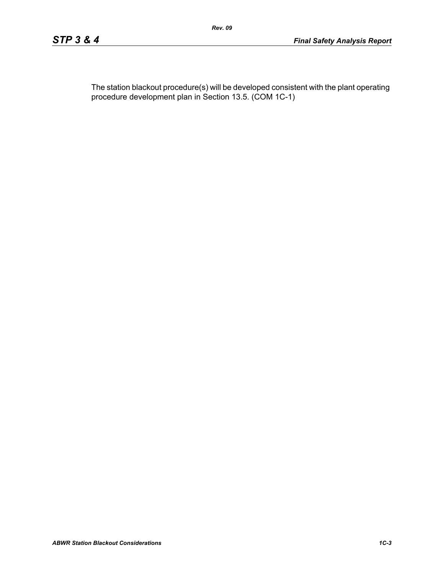The station blackout procedure(s) will be developed consistent with the plant operating procedure development plan in Section 13.5. (COM 1C-1)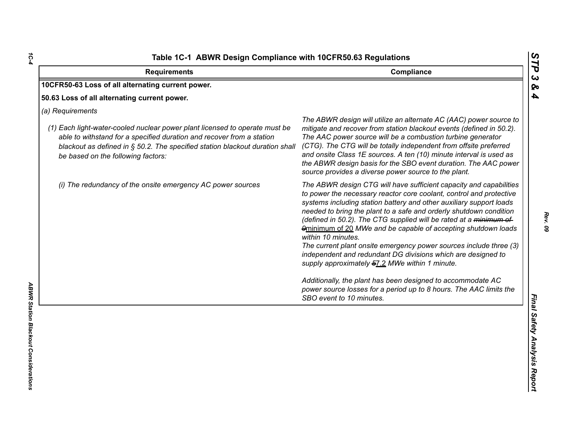| <b>Requirements</b>                                                                                                                                                                                                                                                                            | Compliance                                                                                                                                                                                                                                                                                                                                                                                                                                                                                                                                                                                                                                                                                                                                                                                                  |
|------------------------------------------------------------------------------------------------------------------------------------------------------------------------------------------------------------------------------------------------------------------------------------------------|-------------------------------------------------------------------------------------------------------------------------------------------------------------------------------------------------------------------------------------------------------------------------------------------------------------------------------------------------------------------------------------------------------------------------------------------------------------------------------------------------------------------------------------------------------------------------------------------------------------------------------------------------------------------------------------------------------------------------------------------------------------------------------------------------------------|
| 10CFR50-63 Loss of all alternating current power.                                                                                                                                                                                                                                              |                                                                                                                                                                                                                                                                                                                                                                                                                                                                                                                                                                                                                                                                                                                                                                                                             |
| 50.63 Loss of all alternating current power.                                                                                                                                                                                                                                                   |                                                                                                                                                                                                                                                                                                                                                                                                                                                                                                                                                                                                                                                                                                                                                                                                             |
| (a) Requirements<br>(1) Each light-water-cooled nuclear power plant licensed to operate must be<br>able to withstand for a specified duration and recover from a station<br>blackout as defined in § 50.2. The specified station blackout duration shall<br>be based on the following factors: | The ABWR design will utilize an alternate AC (AAC) power source to<br>mitigate and recover from station blackout events (defined in 50.2).<br>The AAC power source will be a combustion turbine generator<br>(CTG). The CTG will be totally independent from offsite preferred<br>and onsite Class 1E sources. A ten (10) minute interval is used as<br>the ABWR design basis for the SBO event duration. The AAC power<br>source provides a diverse power source to the plant.                                                                                                                                                                                                                                                                                                                             |
| (i) The redundancy of the onsite emergency AC power sources                                                                                                                                                                                                                                    | The ABWR design CTG will have sufficient capacity and capabilities<br>to power the necessary reactor core coolant, control and protective<br>systems including station battery and other auxiliary support loads<br>needed to bring the plant to a safe and orderly shutdown condition<br>(defined in 50.2). The CTG supplied will be rated at a minimum of<br>9minimum of 20 MWe and be capable of accepting shutdown loads<br>within 10 minutes.<br>The current plant onsite emergency power sources include three (3)<br>independent and redundant DG divisions which are designed to<br>supply approximately 57.2 MWe within 1 minute.<br>Additionally, the plant has been designed to accommodate AC<br>power source losses for a period up to 8 hours. The AAC limits the<br>SBO event to 10 minutes. |

*1C-4*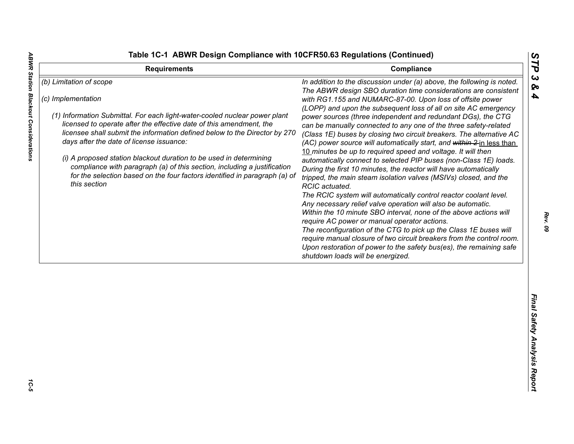**ABWR Station Blackout Considerations** 

|  | able 1C-1  ABWR Design Compliance with 10CFR50.63 Regulations (Continued) |  |
|--|---------------------------------------------------------------------------|--|
|  |                                                                           |  |

| <b>Requirements</b>                                                                                                                                                                                                                                                                                                                                                                                                                                                            | Compliance                                                                                                                                                                                                                                                                                                                                                                                                                                                                                                                                                                                                                                                                                                                                                              | ТP                           |
|--------------------------------------------------------------------------------------------------------------------------------------------------------------------------------------------------------------------------------------------------------------------------------------------------------------------------------------------------------------------------------------------------------------------------------------------------------------------------------|-------------------------------------------------------------------------------------------------------------------------------------------------------------------------------------------------------------------------------------------------------------------------------------------------------------------------------------------------------------------------------------------------------------------------------------------------------------------------------------------------------------------------------------------------------------------------------------------------------------------------------------------------------------------------------------------------------------------------------------------------------------------------|------------------------------|
| (b) Limitation of scope<br>(c) Implementation<br>(1) Information Submittal. For each light-water-cooled nuclear power plant<br>licensed to operate after the effective date of this amendment, the<br>licensee shall submit the information defined below to the Director by 270<br>days after the date of license issuance:<br>(i) A proposed station blackout duration to be used in determining<br>compliance with paragraph (a) of this section, including a justification | In addition to the discussion under (a) above, the following is noted.<br>The ABWR design SBO duration time considerations are consistent<br>with RG1.155 and NUMARC-87-00. Upon loss of offsite power<br>(LOPP) and upon the subsequent loss of all on site AC emergency<br>power sources (three independent and redundant DGs), the CTG<br>can be manually connected to any one of the three safety-related<br>(Class 1E) buses by closing two circuit breakers. The alternative AC<br>(AC) power source will automatically start, and within 2-in less than<br>10 minutes be up to required speed and voltage. It will then<br>automatically connect to selected PIP buses (non-Class 1E) loads.<br>During the first 10 minutes, the reactor will have automatically | ట<br>ବ<br>4                  |
| for the selection based on the four factors identified in paragraph (a) of<br>this section                                                                                                                                                                                                                                                                                                                                                                                     | tripped, the main steam isolation valves (MSIVs) closed, and the<br>RCIC actuated.<br>The RCIC system will automatically control reactor coolant level.<br>Any necessary relief valve operation will also be automatic.<br>Within the 10 minute SBO interval, none of the above actions will<br>require AC power or manual operator actions.<br>The reconfiguration of the CTG to pick up the Class 1E buses will<br>require manual closure of two circuit breakers from the control room.<br>Upon restoration of power to the safety bus(es), the remaining safe<br>shutdown loads will be energized.                                                                                                                                                                  |                              |
|                                                                                                                                                                                                                                                                                                                                                                                                                                                                                |                                                                                                                                                                                                                                                                                                                                                                                                                                                                                                                                                                                                                                                                                                                                                                         | Final Safety Analysis Report |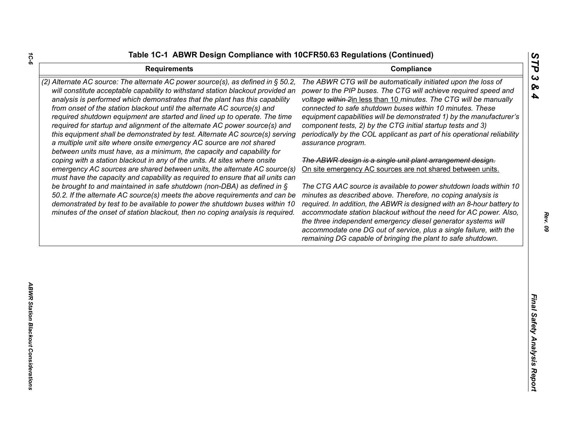| <b>Requirements</b>                                                                                                                                                                                                                                                                                                                                                                                                                                                                                                                                                                                                                              | STP<br>Compliance                                                                                                                                                                                                                                                                                                                                                                                                                                                                                                                                |
|--------------------------------------------------------------------------------------------------------------------------------------------------------------------------------------------------------------------------------------------------------------------------------------------------------------------------------------------------------------------------------------------------------------------------------------------------------------------------------------------------------------------------------------------------------------------------------------------------------------------------------------------------|--------------------------------------------------------------------------------------------------------------------------------------------------------------------------------------------------------------------------------------------------------------------------------------------------------------------------------------------------------------------------------------------------------------------------------------------------------------------------------------------------------------------------------------------------|
| (2) Alternate AC source: The alternate AC power source(s), as defined in § 50.2,<br>will constitute acceptable capability to withstand station blackout provided an<br>analysis is performed which demonstrates that the plant has this capability<br>from onset of the station blackout until the alternate AC source(s) and<br>required shutdown equipment are started and lined up to operate. The time<br>required for startup and alignment of the alternate AC power source(s) and<br>this equipment shall be demonstrated by test. Alternate AC source(s) serving<br>a multiple unit site where onsite emergency AC source are not shared | $\boldsymbol{\omega}$<br>The ABWR CTG will be automatically initiated upon the loss of<br>ଚ୍ଚ<br>power to the PIP buses. The CTG will achieve required speed and<br>4<br>voltage within 2in less than 10 minutes. The CTG will be manually<br>connected to safe shutdown buses within 10 minutes. These<br>equipment capabilities will be demonstrated 1) by the manufacturer's<br>component tests, 2) by the CTG initial startup tests and 3)<br>periodically by the COL applicant as part of his operational reliability<br>assurance program. |
| between units must have, as a minimum, the capacity and capability for<br>coping with a station blackout in any of the units. At sites where onsite<br>emergency AC sources are shared between units, the alternate AC source(s)                                                                                                                                                                                                                                                                                                                                                                                                                 | The ABWR design is a single unit plant arrangement design.<br>On site emergency AC sources are not shared between units.                                                                                                                                                                                                                                                                                                                                                                                                                         |
| must have the capacity and capability as required to ensure that all units can<br>be brought to and maintained in safe shutdown (non-DBA) as defined in $\S$<br>50.2. If the alternate AC source(s) meets the above requirements and can be<br>demonstrated by test to be available to power the shutdown buses within 10<br>minutes of the onset of station blackout, then no coping analysis is required.                                                                                                                                                                                                                                      | The CTG AAC source is available to power shutdown loads within 10<br>minutes as described above. Therefore, no coping analysis is<br>required. In addition, the ABWR is designed with an 8-hour battery to<br>accommodate station blackout without the need for AC power. Also,<br>the three independent emergency diesel generator systems will<br>accommodate one DG out of service, plus a single failure, with the<br>remaining DG capable of bringing the plant to safe shutdown.                                                           |
|                                                                                                                                                                                                                                                                                                                                                                                                                                                                                                                                                                                                                                                  |                                                                                                                                                                                                                                                                                                                                                                                                                                                                                                                                                  |
|                                                                                                                                                                                                                                                                                                                                                                                                                                                                                                                                                                                                                                                  |                                                                                                                                                                                                                                                                                                                                                                                                                                                                                                                                                  |
|                                                                                                                                                                                                                                                                                                                                                                                                                                                                                                                                                                                                                                                  | Final Safety Analysis Report                                                                                                                                                                                                                                                                                                                                                                                                                                                                                                                     |
|                                                                                                                                                                                                                                                                                                                                                                                                                                                                                                                                                                                                                                                  |                                                                                                                                                                                                                                                                                                                                                                                                                                                                                                                                                  |

*1C-6*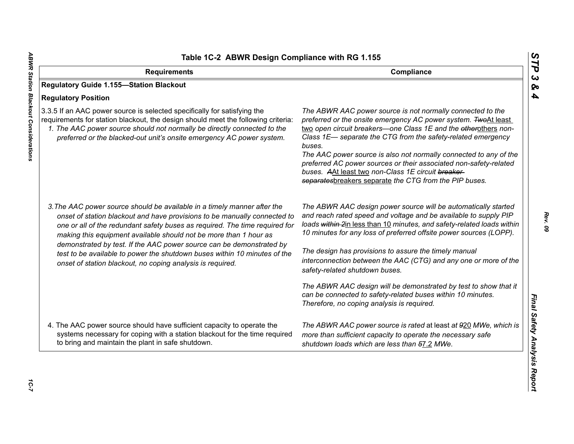| Table 1C-2 ABWR Design Compliance with RG 1.155                                                                                                                                                                                                                                                                                                                                                                                                                |                                                                                                                                                                                                                                                                                                                                                                                                                                                                                                                                     |  |
|----------------------------------------------------------------------------------------------------------------------------------------------------------------------------------------------------------------------------------------------------------------------------------------------------------------------------------------------------------------------------------------------------------------------------------------------------------------|-------------------------------------------------------------------------------------------------------------------------------------------------------------------------------------------------------------------------------------------------------------------------------------------------------------------------------------------------------------------------------------------------------------------------------------------------------------------------------------------------------------------------------------|--|
| <b>Requirements</b>                                                                                                                                                                                                                                                                                                                                                                                                                                            | Compliance                                                                                                                                                                                                                                                                                                                                                                                                                                                                                                                          |  |
| <b>Regulatory Guide 1.155-Station Blackout</b>                                                                                                                                                                                                                                                                                                                                                                                                                 |                                                                                                                                                                                                                                                                                                                                                                                                                                                                                                                                     |  |
| <b>Regulatory Position</b>                                                                                                                                                                                                                                                                                                                                                                                                                                     |                                                                                                                                                                                                                                                                                                                                                                                                                                                                                                                                     |  |
| 3.3.5 If an AAC power source is selected specifically for satisfying the<br>requirements for station blackout, the design should meet the following criteria:<br>1. The AAC power source should not normally be directly connected to the<br>preferred or the blacked-out unit's onsite emergency AC power system.                                                                                                                                             | The ABWR AAC power source is not normally connected to the<br>preferred or the onsite emergency AC power system. TwoAt least<br>two open circuit breakers-one Class 1E and the etherothers non-<br>Class 1E- separate the CTG from the safety-related emergency<br>buses.<br>The AAC power source is also not normally connected to any of the<br>preferred AC power sources or their associated non-safety-related<br>buses. AAt least two non-Class 1E circuit breaker-<br>separatesbreakers separate the CTG from the PIP buses. |  |
| 3. The AAC power source should be available in a timely manner after the<br>onset of station blackout and have provisions to be manually connected to<br>one or all of the redundant safety buses as required. The time required for<br>making this equipment available should not be more than 1 hour as<br>demonstrated by test. If the AAC power source can be demonstrated by<br>test to be available to power the shutdown buses within 10 minutes of the | The ABWR AAC design power source will be automatically started<br>and reach rated speed and voltage and be available to supply PIP<br>loads within 2in less than 10 minutes, and safety-related loads within<br>10 minutes for any loss of preferred offsite power sources (LOPP).<br>The design has provisions to assure the timely manual                                                                                                                                                                                         |  |
| onset of station blackout, no coping analysis is required.                                                                                                                                                                                                                                                                                                                                                                                                     | interconnection between the AAC (CTG) and any one or more of the<br>safety-related shutdown buses.                                                                                                                                                                                                                                                                                                                                                                                                                                  |  |
|                                                                                                                                                                                                                                                                                                                                                                                                                                                                | The ABWR AAC design will be demonstrated by test to show that it<br>can be connected to safety-related buses within 10 minutes.<br>Therefore, no coping analysis is required.                                                                                                                                                                                                                                                                                                                                                       |  |
| 4. The AAC power source should have sufficient capacity to operate the<br>systems necessary for coping with a station blackout for the time required<br>to bring and maintain the plant in safe shutdown.                                                                                                                                                                                                                                                      | The ABWR AAC power source is rated at least at 920 MWe, which is<br>more than sufficient capacity to operate the necessary safe<br>shutdown loads which are less than 57.2 MWe.                                                                                                                                                                                                                                                                                                                                                     |  |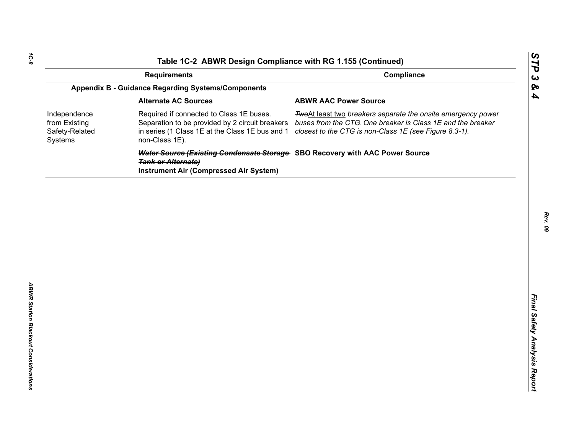| Compliance<br><b>Requirements</b><br><b>Appendix B - Guidance Regarding Systems/Components</b><br><b>Alternate AC Sources</b><br><b>ABWR AAC Power Source</b><br>Required if connected to Class 1E buses.<br>Separation to be provided by 2 circuit breakers<br>in series (1 Class 1E at the Class 1E bus and 1<br>closest to the CTG is non-Class 1E (see Figure 8.3-1).<br>non-Class 1E). | TwoAt least two breakers separate the onsite emergency power<br>buses from the CTG. One breaker is Class 1E and the breaker<br>Water Source (Existing Condensate Storage SBO Recovery with AAC Power Source<br><b>Tank or Alternate)</b><br><b>Instrument Air (Compressed Air System)</b> |                                                            | Table 1C-2 ABWR Design Compliance with RG 1.155 (Continued) |  |
|---------------------------------------------------------------------------------------------------------------------------------------------------------------------------------------------------------------------------------------------------------------------------------------------------------------------------------------------------------------------------------------------|-------------------------------------------------------------------------------------------------------------------------------------------------------------------------------------------------------------------------------------------------------------------------------------------|------------------------------------------------------------|-------------------------------------------------------------|--|
|                                                                                                                                                                                                                                                                                                                                                                                             |                                                                                                                                                                                                                                                                                           |                                                            |                                                             |  |
|                                                                                                                                                                                                                                                                                                                                                                                             |                                                                                                                                                                                                                                                                                           |                                                            |                                                             |  |
|                                                                                                                                                                                                                                                                                                                                                                                             |                                                                                                                                                                                                                                                                                           |                                                            |                                                             |  |
|                                                                                                                                                                                                                                                                                                                                                                                             |                                                                                                                                                                                                                                                                                           | Independence<br>from Existing<br>Safety-Related<br>Systems |                                                             |  |
|                                                                                                                                                                                                                                                                                                                                                                                             |                                                                                                                                                                                                                                                                                           |                                                            |                                                             |  |
|                                                                                                                                                                                                                                                                                                                                                                                             |                                                                                                                                                                                                                                                                                           |                                                            |                                                             |  |
|                                                                                                                                                                                                                                                                                                                                                                                             |                                                                                                                                                                                                                                                                                           |                                                            |                                                             |  |
|                                                                                                                                                                                                                                                                                                                                                                                             |                                                                                                                                                                                                                                                                                           |                                                            |                                                             |  |
|                                                                                                                                                                                                                                                                                                                                                                                             |                                                                                                                                                                                                                                                                                           |                                                            |                                                             |  |
|                                                                                                                                                                                                                                                                                                                                                                                             |                                                                                                                                                                                                                                                                                           |                                                            |                                                             |  |
|                                                                                                                                                                                                                                                                                                                                                                                             |                                                                                                                                                                                                                                                                                           |                                                            |                                                             |  |
|                                                                                                                                                                                                                                                                                                                                                                                             |                                                                                                                                                                                                                                                                                           |                                                            |                                                             |  |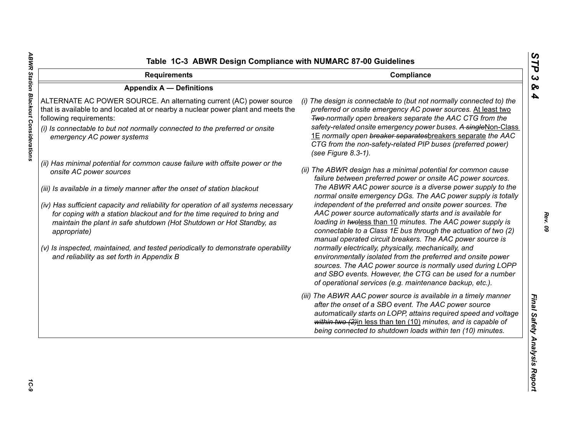| <b>Requirements</b>                                                                                                                                                                                                                                                                                                                                                                                                                                                                                                                                                                 | Compliance                                                                                                                                                                                                                                                                                                                                                                                                                                                                                                                                                                                                                                                                                                                                                                                                                                                                                          |
|-------------------------------------------------------------------------------------------------------------------------------------------------------------------------------------------------------------------------------------------------------------------------------------------------------------------------------------------------------------------------------------------------------------------------------------------------------------------------------------------------------------------------------------------------------------------------------------|-----------------------------------------------------------------------------------------------------------------------------------------------------------------------------------------------------------------------------------------------------------------------------------------------------------------------------------------------------------------------------------------------------------------------------------------------------------------------------------------------------------------------------------------------------------------------------------------------------------------------------------------------------------------------------------------------------------------------------------------------------------------------------------------------------------------------------------------------------------------------------------------------------|
| <b>Appendix A - Definitions</b>                                                                                                                                                                                                                                                                                                                                                                                                                                                                                                                                                     |                                                                                                                                                                                                                                                                                                                                                                                                                                                                                                                                                                                                                                                                                                                                                                                                                                                                                                     |
| ALTERNATE AC POWER SOURCE. An alternating current (AC) power source<br>that is available to and located at or nearby a nuclear power plant and meets the<br>following requirements:<br>(i) Is connectable to but not normally connected to the preferred or onsite<br>emergency AC power systems                                                                                                                                                                                                                                                                                    | (i) The design is connectable to (but not normally connected to) the<br>preferred or onsite emergency AC power sources. At least two<br>Two-normally open breakers separate the AAC CTG from the<br>safety-related onsite emergency power buses. A singleNon-Class<br>1E normally open breaker separatesbreakers separate the AAC<br>CTG from the non-safety-related PIP buses (preferred power)<br>(see Figure 8.3-1).                                                                                                                                                                                                                                                                                                                                                                                                                                                                             |
| (ii) Has minimal potential for common cause failure with offsite power or the<br>onsite AC power sources<br>(iii) Is available in a timely manner after the onset of station blackout<br>(iv) Has sufficient capacity and reliability for operation of all systems necessary<br>for coping with a station blackout and for the time required to bring and<br>maintain the plant in safe shutdown (Hot Shutdown or Hot Standby, as<br>appropriate)<br>(v) Is inspected, maintained, and tested periodically to demonstrate operability<br>and reliability as set forth in Appendix B | (ii) The ABWR design has a minimal potential for common cause<br>failure between preferred power or onsite AC power sources.<br>The ABWR AAC power source is a diverse power supply to the<br>normal onsite emergency DGs. The AAC power supply is totally<br>independent of the preferred and onsite power sources. The<br>AAC power source automatically starts and is available for<br>loading in twoless than 10 minutes. The AAC power supply is<br>connectable to a Class 1E bus through the actuation of two (2)<br>manual operated circuit breakers. The AAC power source is<br>normally electrically, physically, mechanically, and<br>environmentally isolated from the preferred and onsite power<br>sources. The AAC power source is normally used during LOPP<br>and SBO events. However, the CTG can be used for a number<br>of operational services (e.g. maintenance backup, etc.). |
|                                                                                                                                                                                                                                                                                                                                                                                                                                                                                                                                                                                     | (iii) The ABWR AAC power source is available in a timely manner<br>after the onset of a SBO event. The AAC power source<br>automatically starts on LOPP, attains required speed and voltage<br>within two (2)in less than ten (10) minutes, and is capable of<br>being connected to shutdown loads within ten (10) minutes.                                                                                                                                                                                                                                                                                                                                                                                                                                                                                                                                                                         |